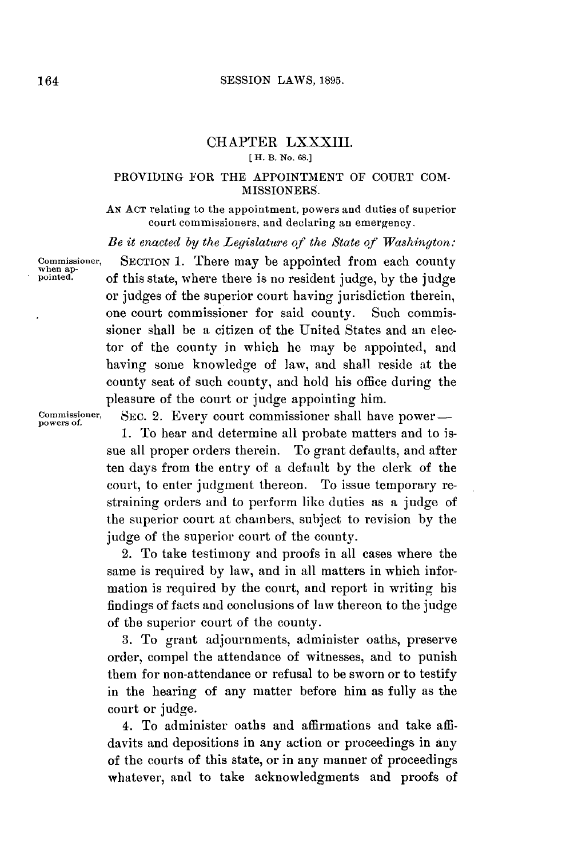## CHAPTER LXXXIII. **[ H. B. No. 68.]**

## PROVIDING FOR THE APPOINTMENT OF **COURT COM-MISSIONERS.**

**AN ACT** relating to the appointment, powers and duties of superior court commissioners, and declaring an emergency.

*Be it enacted by the Legislature of the State of Washington:*

**Commissioner, SECTION 1.** There may be appointed from each county **when ap- pointed.** of this state, where there is no resident judge, **by** the judge or judges of the superior court having jurisdiction therein, one court commissioner for said county. Such commissioner shall be a citizen of the United States and an elector of the county in which he may be appointed, and having some knowledge of law, and shall reside at the county seat of such county, and hold his office during the pleasure of the court or judge appointing him.

Commissioner, SEC. 2. Every court commissioner shall have power-**1.** To hear and determine all probate matters and to issue all proper orders therein. To grant defaults, and after ten days from the entry of a default **by** the clerk of the court, to enter judgment thereon. To issue temporary restraining orders and to perform like duties as a judge of the superior court at chambers, subject to revision **by** the judge of the superior court of the county.

> 2. To take testimony and proofs in all cases where the same is required **by** law, and in all matters in which information is required **by** the court, and report in writing his findings of facts and conclusions of law thereon to the judge of the superior court of the county.

> **3.** To grant adjournments, administer oaths, preserve order, compel the attendance of witnesses, and to punish them for non-attendance or refusal to be sworn or to testify in the hearing of any matter before him as fully as the court or judge.

> 4. To administer oaths and affirmations and take affidavits and depositions in any action or proceedings in any of the courts of this state, or in any manner of proceedings whatever, and to take acknowledgments and proofs of